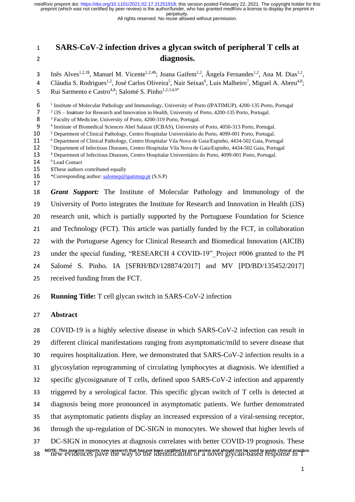All rights reserved. No reuse allowed without permission.

# **SARS-CoV-2 infection drives a glycan switch of peripheral T cells at diagnosis.**

 $I_n$  Inês Alves<sup>1,2,3\$</sup>, Manuel M. Vicente<sup>1,2,4\$</sup>; Joana Gaifem<sup>1,2</sup>, Ângela Fernandes<sup>1,2</sup>, Ana M. Dias<sup>1,2</sup>,

4 Cláudia S. Rodrigues<sup>1,2</sup>, José Carlos Oliveira<sup>5</sup>, Nair Seixas<sup>6</sup>, Luis Malheiro<sup>7</sup>, Miguel A. Abreu<sup>4,8</sup>;

Rui Sarmento e Castro<sup>4,8</sup>; Salomé S. Pinho<sup>1,2,3,4,9\*</sup> 

<sup>1</sup> Institute of Molecular Pathology and Immunology, University of Porto (IPATIMUP), 4200-135 Porto, Portugal

<sup>2</sup> i3S – Institute for Research and Innovation in Health, University of Porto, 4200-135 Porto, Portugal.

8 <sup>3</sup> Faculty of Medicine, University of Porto, 4200-319 Porto, Portugal.

<sup>4</sup> Institute of Biomedical Sciences Abel Salazar (ICBAS), University of Porto, 4050-313 Porto, Portugal.

<sup>5</sup> Department of Clinical Pathology, Centro Hospitalar Universitário do Porto, 4099-001 Porto, Portugal.

<sup>6</sup> Department of Clinical Pathology, Centro Hospitalar Vila Nova de Gaia/Espinho, 4434-502 Gaia, Portugal<br>12 <sup>7</sup> Department of Infectious Diseases. Centro Hospitalar Vila Nova de Gaia/Espinho. 4434-502 Gaia. Portugal

12 <sup>7</sup> Department of Infectious Diseases, Centro Hospitalar Vila Nova de Gaia/Espinho, 4434-502 Gaia, Portugal<br>13 <sup>8</sup> Department of Infectious Diseases. Centro Hospitalar Universitário do Porto. 4099-001 Porto. Portugal.

<sup>8</sup> Department of Infectious Diseases, Centro Hospitalar Universitário do Porto, 4099-001 Porto, Portugal.

- 14 <sup>9</sup> Lead Contact
- **\$These authors contributed equally**
- 16 \* Corresponding author: [salomep@ipatimup.pt](mailto:salomep@ipatimup.pt) (S.S.P)

 *Grant Support:* The Institute of Molecular Pathology and Immunology of the University of Porto integrates the Institute for Research and Innovation in Health (i3S) research unit, which is partially supported by the Portuguese Foundation for Science and Technology (FCT). This article was partially funded by the FCT, in collaboration with the Portuguese Agency for Clinical Research and Biomedical Innovation (AICIB) 23 under the special funding, "RESEARCH 4 COVID-19" Project #006 granted to the PI Salomé S. Pinho. IA [SFRH/BD/128874/2017] and MV [PD/BD/135452/2017] received funding from the FCT.

**Running Title:** T cell glycan switch in SARS-CoV-2 infection

### **Abstract**

 COVID-19 is a highly selective disease in which SARS-CoV-2 infection can result in different clinical manifestations ranging from asymptomatic/mild to severe disease that requires hospitalization. Here, we demonstrated that SARS-CoV-2 infection results in a glycosylation reprogramming of circulating lymphocytes at diagnosis. We identified a specific glycosignature of T cells, defined upon SARS-CoV-2 infection and apparently triggered by a serological factor. This specific glycan switch of T cells is detected at diagnosis being more pronounced in asymptomatic patients. We further demonstrated that asymptomatic patients display an increased expression of a viral-sensing receptor, through the up-regulation of DC-SIGN in monocytes. We showed that higher levels of DC-SIGN in monocytes at diagnosis correlates with better COVID-19 prognosis. These NOTE: This preprint reports new research that has not been certified by peer review and should not be used to guide clinical practice.<br>38 The Wevidences pave the way to the identification of a novel glycan-based response i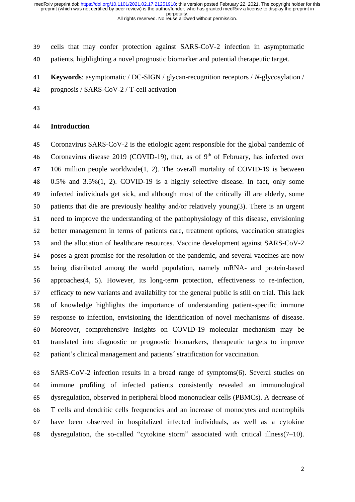cells that may confer protection against SARS-CoV-2 infection in asymptomatic

patients, highlighting a novel prognostic biomarker and potential therapeutic target.

**Keywords**: asymptomatic / DC-SIGN / glycan-recognition receptors / *N*-glycosylation /

prognosis / SARS-CoV-2 / T-cell activation

#### **Introduction**

 Coronavirus SARS-CoV-2 is the etiologic agent responsible for the global pandemic of 46 Coronavirus disease 2019 (COVID-19), that, as of  $9<sup>th</sup>$  of February, has infected over 106 million people worldwide(1, 2). The overall mortality of COVID-19 is between 0.5% and 3.5%(1, 2). COVID-19 is a highly selective disease. In fact, only some infected individuals get sick, and although most of the critically ill are elderly, some patients that die are previously healthy and/or relatively young(3). There is an urgent need to improve the understanding of the pathophysiology of this disease, envisioning better management in terms of patients care, treatment options, vaccination strategies and the allocation of healthcare resources. Vaccine development against SARS-CoV-2 poses a great promise for the resolution of the pandemic, and several vaccines are now being distributed among the world population, namely mRNA- and protein-based approaches(4, 5). However, its long-term protection, effectiveness to re-infection, efficacy to new variants and availability for the general public is still on trial. This lack of knowledge highlights the importance of understanding patient-specific immune response to infection, envisioning the identification of novel mechanisms of disease. Moreover, comprehensive insights on COVID-19 molecular mechanism may be translated into diagnostic or prognostic biomarkers, therapeutic targets to improve patient's clinical management and patients´ stratification for vaccination.

 SARS-CoV-2 infection results in a broad range of symptoms(6). Several studies on immune profiling of infected patients consistently revealed an immunological dysregulation, observed in peripheral blood mononuclear cells (PBMCs). A decrease of T cells and dendritic cells frequencies and an increase of monocytes and neutrophils have been observed in hospitalized infected individuals, as well as a cytokine dysregulation, the so-called "cytokine storm" associated with critical illness(7–10).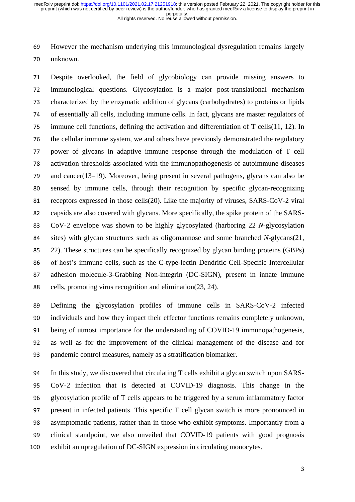However the mechanism underlying this immunological dysregulation remains largely unknown.

 Despite overlooked, the field of glycobiology can provide missing answers to immunological questions. Glycosylation is a major post-translational mechanism characterized by the enzymatic addition of glycans (carbohydrates) to proteins or lipids of essentially all cells, including immune cells. In fact, glycans are master regulators of immune cell functions, defining the activation and differentiation of T cells(11, 12). In the cellular immune system, we and others have previously demonstrated the regulatory power of glycans in adaptive immune response through the modulation of T cell activation thresholds associated with the immunopathogenesis of autoimmune diseases and cancer(13–19). Moreover, being present in several pathogens, glycans can also be sensed by immune cells, through their recognition by specific glycan-recognizing receptors expressed in those cells(20). Like the majority of viruses, SARS-CoV-2 viral capsids are also covered with glycans. More specifically, the spike protein of the SARS- CoV-2 envelope was shown to be highly glycosylated (harboring 22 *N*-glycosylation sites) with glycan structures such as oligomannose and some branched *N*-glycans(21, 22). These structures can be specifically recognized by glycan binding proteins (GBPs) of host's immune cells, such as the C-type-lectin Dendritic Cell-Specific Intercellular adhesion molecule-3-Grabbing Non-integrin (DC-SIGN), present in innate immune cells, promoting virus recognition and elimination(23, 24).

 Defining the glycosylation profiles of immune cells in SARS-CoV-2 infected individuals and how they impact their effector functions remains completely unknown, being of utmost importance for the understanding of COVID-19 immunopathogenesis, as well as for the improvement of the clinical management of the disease and for pandemic control measures, namely as a stratification biomarker.

 In this study, we discovered that circulating T cells exhibit a glycan switch upon SARS- CoV-2 infection that is detected at COVID-19 diagnosis. This change in the glycosylation profile of T cells appears to be triggered by a serum inflammatory factor present in infected patients. This specific T cell glycan switch is more pronounced in asymptomatic patients, rather than in those who exhibit symptoms. Importantly from a clinical standpoint, we also unveiled that COVID-19 patients with good prognosis exhibit an upregulation of DC-SIGN expression in circulating monocytes.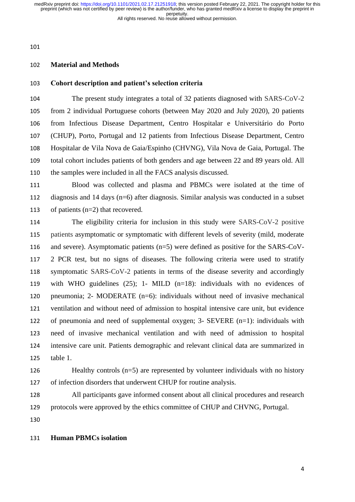### **Material and Methods**

# **Cohort description and patient's selection criteria**

 The present study integrates a total of 32 patients diagnosed with SARS-CoV-2 from 2 individual Portuguese cohorts (between May 2020 and July 2020), 20 patients from Infectious Disease Department, Centro Hospitalar e Universitário do Porto (CHUP), Porto, Portugal and 12 patients from Infectious Disease Department, Centro Hospitalar de Vila Nova de Gaia/Espinho (CHVNG), Vila Nova de Gaia, Portugal. The total cohort includes patients of both genders and age between 22 and 89 years old. All the samples were included in all the FACS analysis discussed.

 Blood was collected and plasma and PBMCs were isolated at the time of diagnosis and 14 days (n=6) after diagnosis. Similar analysis was conducted in a subset of patients (n=2) that recovered.

 The eligibility criteria for inclusion in this study were SARS-CoV-2 positive patients asymptomatic or symptomatic with different levels of severity (mild, moderate and severe). Asymptomatic patients (n=5) were defined as positive for the SARS-CoV- 2 PCR test, but no signs of diseases. The following criteria were used to stratify symptomatic SARS-CoV-2 patients in terms of the disease severity and accordingly with WHO guidelines (25); 1- MILD (n=18): individuals with no evidences of pneumonia; 2- MODERATE (n=6): individuals without need of invasive mechanical ventilation and without need of admission to hospital intensive care unit, but evidence of pneumonia and need of supplemental oxygen; 3- SEVERE (n=1): individuals with need of invasive mechanical ventilation and with need of admission to hospital intensive care unit. Patients demographic and relevant clinical data are summarized in table 1.

 Healthy controls (n=5) are represented by volunteer individuals with no history of infection disorders that underwent CHUP for routine analysis.

 All participants gave informed consent about all clinical procedures and research protocols were approved by the ethics committee of CHUP and CHVNG, Portugal.

### **Human PBMCs isolation**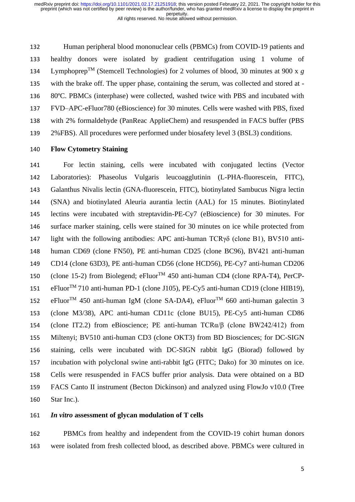Human peripheral blood mononuclear cells (PBMCs) from COVID-19 patients and healthy donors were isolated by gradient centrifugation using 1 volume of

134 Lymphoprep<sup>TM</sup> (Stemcell Technologies) for 2 volumes of blood, 30 minutes at 900 x  $g$  with the brake off. The upper phase, containing the serum, was collected and stored at - 80ºC. PBMCs (interphase) were collected, washed twice with PBS and incubated with FVD–APC-eFluor780 (eBioscience) for 30 minutes. Cells were washed with PBS, fixed with 2% formaldehyde (PanReac ApplieChem) and resuspended in FACS buffer (PBS

2%FBS). All procedures were performed under biosafety level 3 (BSL3) conditions.

# **Flow Cytometry Staining**

 For lectin staining, cells were incubated with conjugated lectins (Vector Laboratories): Phaseolus Vulgaris leucoagglutinin (L-PHA-fluorescein, FITC), Galanthus Nivalis lectin (GNA-fluorescein, FITC), biotinylated Sambucus Nigra lectin (SNA) and biotinylated Aleuria aurantia lectin (AAL) for 15 minutes. Biotinylated lectins were incubated with streptavidin-PE-Cy7 (eBioscience) for 30 minutes. For surface marker staining, cells were stained for 30 minutes on ice while protected from light with the following antibodies: APC anti-human TCRγδ (clone B1), BV510 anti- human CD69 (clone FN50), PE anti-human CD25 (clone BC96), BV421 anti-human CD14 (clone 63D3), PE anti-human CD56 (clone HCD56), PE-Cy7 anti-human CD206 150 (clone 15-2) from Biolegend; eFluor<sup>TM</sup> 450 anti-human CD4 (clone RPA-T4), PerCP-151 eFluor<sup>TM</sup> 710 anti-human PD-1 (clone J105), PE-Cy5 anti-human CD19 (clone HIB19), 152 eFluor<sup>TM</sup> 450 anti-human IgM (clone SA-DA4), eFluor<sup>TM</sup> 660 anti-human galectin 3 (clone M3/38), APC anti-human CD11c (clone BU15), PE-Cy5 anti-human CD86 (clone IT2.2) from eBioscience; PE anti-human TCRα/β (clone BW242/412) from Miltenyi; BV510 anti-human CD3 (clone OKT3) from BD Biosciences; for DC-SIGN staining, cells were incubated with DC-SIGN rabbit IgG (Biorad) followed by incubation with polyclonal swine anti-rabbit IgG (FITC; Dako) for 30 minutes on ice. Cells were resuspended in FACS buffer prior analysis. Data were obtained on a BD FACS Canto II instrument (Becton Dickinson) and analyzed using FlowJo v10.0 (Tree Star Inc.).

# *In vitro* **assessment of glycan modulation of T cells**

 PBMCs from healthy and independent from the COVID-19 cohirt human donors were isolated from fresh collected blood, as described above. PBMCs were cultured in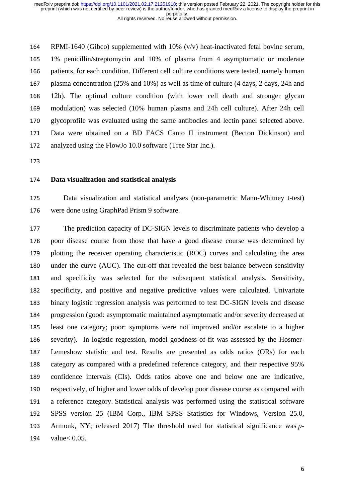RPMI-1640 (Gibco) supplemented with 10% (v/v) heat-inactivated fetal bovine serum, 1% penicillin/streptomycin and 10% of plasma from 4 asymptomatic or moderate patients, for each condition. Different cell culture conditions were tested, namely human plasma concentration (25% and 10%) as well as time of culture (4 days, 2 days, 24h and 12h). The optimal culture condition (with lower cell death and stronger glycan modulation) was selected (10% human plasma and 24h cell culture). After 24h cell glycoprofile was evaluated using the same antibodies and lectin panel selected above. Data were obtained on a BD FACS Canto II instrument (Becton Dickinson) and analyzed using the FlowJo 10.0 software (Tree Star Inc.).

### **Data visualization and statistical analysis**

 Data visualization and statistical analyses (non-parametric Mann-Whitney t-test) were done using GraphPad Prism 9 software.

 The prediction capacity of DC-SIGN levels to discriminate patients who develop a poor disease course from those that have a good disease course was determined by plotting the receiver operating characteristic (ROC) curves and calculating the area under the curve (AUC). The cut-off that revealed the best balance between sensitivity and specificity was selected for the subsequent statistical analysis. Sensitivity, specificity, and positive and negative predictive values were calculated. Univariate binary logistic regression analysis was performed to test DC-SIGN levels and disease progression (good: asymptomatic maintained asymptomatic and/or severity decreased at least one category; poor: symptoms were not improved and/or escalate to a higher severity). In logistic regression, model goodness-of-fit was assessed by the Hosmer- Lemeshow statistic and test. Results are presented as odds ratios (ORs) for each category as compared with a predefined reference category, and their respective 95% confidence intervals (CIs). Odds ratios above one and below one are indicative, respectively, of higher and lower odds of develop poor disease course as compared with a reference category. Statistical analysis was performed using the statistical software SPSS version 25 (IBM Corp., IBM SPSS Statistics for Windows, Version 25.0, Armonk, NY; released 2017) The threshold used for statistical significance was *p*-value< 0.05.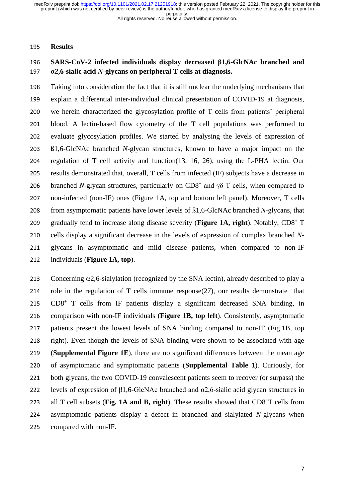All rights reserved. No reuse allowed without permission.

### **Results**

# **SARS-CoV-2 infected individuals display decreased β1,6-GlcNAc branched and α2,6-sialic acid** *N***-glycans on peripheral T cells at diagnosis.**

 Taking into consideration the fact that it is still unclear the underlying mechanisms that explain a differential inter-individual clinical presentation of COVID-19 at diagnosis, we herein characterized the glycosylation profile of T cells from patients' peripheral blood. A lectin-based flow cytometry of the T cell populations was performed to evaluate glycosylation profiles. We started by analysing the levels of expression of ß1,6-GlcNAc branched *N*-glycan structures, known to have a major impact on the regulation of T cell activity and function(13, 16, 26), using the L-PHA lectin. Our results demonstrated that, overall, T cells from infected (IF) subjects have a decrease in 206 branched *N*-glycan structures, particularly on  $CD8<sup>+</sup>$  and γδ T cells, when compared to non-infected (non-IF) ones (Figure 1A, top and bottom left panel). Moreover, T cells from asymptomatic patients have lower levels of ß1,6-GlcNAc branched *N*-glycans, that 209 gradually tend to increase along disease severity (Figure 1A, right). Notably, CD8<sup>+</sup> T cells display a significant decrease in the levels of expression of complex branched *N*- glycans in asymptomatic and mild disease patients, when compared to non-IF individuals (**Figure 1A, top**).

213 Concerning  $\alpha$ 2,6-sialylation (recognized by the SNA lectin), already described to play a 214 role in the regulation of T cells immune response $(27)$ , our results demonstrate that 215 CD8<sup>+</sup> T cells from IF patients display a significant decreased SNA binding, in comparison with non-IF individuals (**Figure 1B, top left**). Consistently, asymptomatic patients present the lowest levels of SNA binding compared to non-IF (Fig.1B, top right). Even though the levels of SNA binding were shown to be associated with age (**Supplemental Figure 1E**), there are no significant differences between the mean age of asymptomatic and symptomatic patients (**Supplemental Table 1**). Curiously, for both glycans, the two COVID-19 convalescent patients seem to recover (or surpass) the 222 levels of expression of  $\beta$ 1,6-GlcNAc branched and  $\alpha$ 2,6-sialic acid glycan structures in 223 all T cell subsets (Fig. 1A and B, right). These results showed that CD8<sup>+</sup>T cells from asymptomatic patients display a defect in branched and sialylated *N*-glycans when compared with non-IF.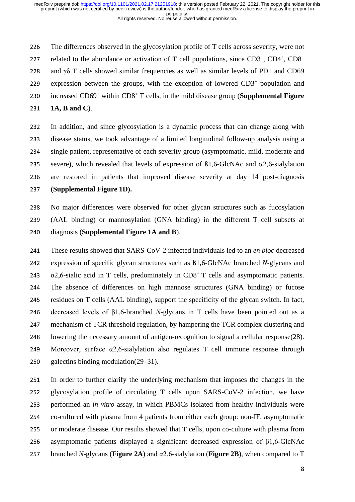The differences observed in the glycosylation profile of T cells across severity, were not related to the abundance or activation of T cell populations, since  $CD3^+$ ,  $CD4^+$ ,  $CD8^+$  228 and  $\gamma\delta$  T cells showed similar frequencies as well as similar levels of PD1 and CD69 229 expression between the groups, with the exception of lowered  $CD3<sup>+</sup>$  population and 230 increased CD69<sup>+</sup> within CD8<sup>+</sup> T cells, in the mild disease group (**Supplemental Figure 1A, B and C**).

 In addition, and since glycosylation is a dynamic process that can change along with disease status, we took advantage of a limited longitudinal follow-up analysis using a single patient, representative of each severity group (asymptomatic, mild, moderate and 235 severe), which revealed that levels of expression of  $\beta$ 1,6-GlcNAc and  $\alpha$ 2,6-sialylation are restored in patients that improved disease severity at day 14 post-diagnosis **(Supplemental Figure 1D).**

 No major differences were observed for other glycan structures such as fucosylation (AAL binding) or mannosylation (GNA binding) in the different T cell subsets at diagnosis (**Supplemental Figure 1A and B**).

 These results showed that SARS-CoV-2 infected individuals led to an *en bloc* decreased expression of specific glycan structures such as ß1,6-GlcNAc branched *N*-glycans and  $\alpha$ 2,6-sialic acid in T cells, predominately in CD8<sup>+</sup> T cells and asymptomatic patients. The absence of differences on high mannose structures (GNA binding) or fucose residues on T cells (AAL binding), support the specificity of the glycan switch. In fact, decreased levels of β1,6-branched *N*-glycans in T cells have been pointed out as a mechanism of TCR threshold regulation, by hampering the TCR complex clustering and lowering the necessary amount of antigen-recognition to signal a cellular response(28). Moreover, surface α2,6-sialylation also regulates T cell immune response through galectins binding modulation(29–31).

 In order to further clarify the underlying mechanism that imposes the changes in the glycosylation profile of circulating T cells upon SARS-CoV-2 infection, we have performed an *in vitro* assay, in which PBMCs isolated from healthy individuals were co-cultured with plasma from 4 patients from either each group: non-IF, asymptomatic or moderate disease. Our results showed that T cells, upon co-culture with plasma from asymptomatic patients displayed a significant decreased expression of β1,6-GlcNAc branched *N*-glycans (**Figure 2A**) and α2,6-sialylation (**Figure 2B**), when compared to T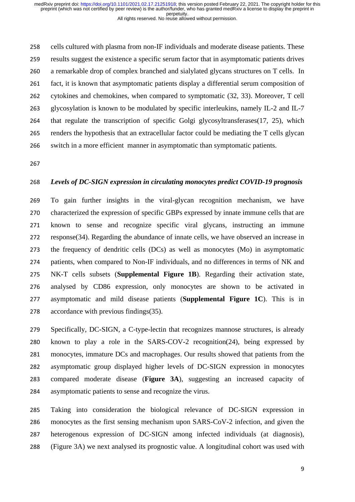cells cultured with plasma from non-IF individuals and moderate disease patients. These results suggest the existence a specific serum factor that in asymptomatic patients drives a remarkable drop of complex branched and sialylated glycans structures on T cells. In fact, it is known that asymptomatic patients display a differential serum composition of cytokines and chemokines, when compared to symptomatic (32, 33). Moreover, T cell glycosylation is known to be modulated by specific interleukins, namely IL-2 and IL-7 that regulate the transcription of specific Golgi glycosyltransferases(17, 25), which renders the hypothesis that an extracellular factor could be mediating the T cells glycan switch in a more efficient manner in asymptomatic than symptomatic patients.

# *Levels of DC-SIGN expression in circulating monocytes predict COVID-19 prognosis*

 To gain further insights in the viral-glycan recognition mechanism, we have characterized the expression of specific GBPs expressed by innate immune cells that are known to sense and recognize specific viral glycans, instructing an immune response(34). Regarding the abundance of innate cells, we have observed an increase in the frequency of dendritic cells (DCs) as well as monocytes (Mo) in asymptomatic patients, when compared to Non-IF individuals, and no differences in terms of NK and NK-T cells subsets (**Supplemental Figure 1B**). Regarding their activation state, analysed by CD86 expression, only monocytes are shown to be activated in asymptomatic and mild disease patients (**Supplemental Figure 1C**). This is in accordance with previous findings(35).

 Specifically, DC-SIGN, a C-type-lectin that recognizes mannose structures, is already known to play a role in the SARS-COV-2 recognition(24), being expressed by monocytes, immature DCs and macrophages. Our results showed that patients from the asymptomatic group displayed higher levels of DC-SIGN expression in monocytes compared moderate disease (**Figure 3A**), suggesting an increased capacity of asymptomatic patients to sense and recognize the virus.

 Taking into consideration the biological relevance of DC-SIGN expression in monocytes as the first sensing mechanism upon SARS-CoV-2 infection, and given the heterogenous expression of DC-SIGN among infected individuals (at diagnosis), (Figure 3A) we next analysed its prognostic value. A longitudinal cohort was used with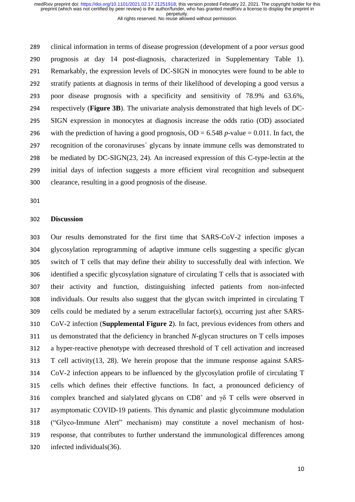All rights reserved. No reuse allowed without permission.

 clinical information in terms of disease progression (development of a poor *versus* good prognosis at day 14 post-diagnosis, characterized in Supplementary Table 1). Remarkably, the expression levels of DC-SIGN in monocytes were found to be able to stratify patients at diagnosis in terms of their likelihood of developing a good versus a poor disease prognosis with a specificity and sensitivity of 78.9% and 63.6%, respectively (**Figure 3B**). The univariate analysis demonstrated that high levels of DC- SIGN expression in monocytes at diagnosis increase the odds ratio (OD) associated 296 with the prediction of having a good prognosis,  $OD = 6.548$  *p*-value = 0.011. In fact, the recognition of the coronaviruses´ glycans by innate immune cells was demonstrated to be mediated by DC-SIGN(23, 24). An increased expression of this C-type-lectin at the initial days of infection suggests a more efficient viral recognition and subsequent clearance, resulting in a good prognosis of the disease.

### **Discussion**

 Our results demonstrated for the first time that SARS-CoV-2 infection imposes a glycosylation reprogramming of adaptive immune cells suggesting a specific glycan switch of T cells that may define their ability to successfully deal with infection. We identified a specific glycosylation signature of circulating T cells that is associated with their activity and function, distinguishing infected patients from non-infected individuals. Our results also suggest that the glycan switch imprinted in circulating T cells could be mediated by a serum extracellular factor(s), occurring just after SARS- CoV-2 infection (**Supplemental Figure 2**). In fact, previous evidences from others and us demonstrated that the deficiency in branched *N*-glycan structures on T cells imposes a hyper-reactive phenotype with decreased threshold of T cell activation and increased T cell activity(13, 28). We herein propose that the immune response against SARS- CoV-2 infection appears to be influenced by the glycosylation profile of circulating T cells which defines their effective functions. In fact, a pronounced deficiency of 316 complex branched and sialylated glycans on CD8<sup>+</sup> and γδ T cells were observed in asymptomatic COVID-19 patients. This dynamic and plastic glycoimmune modulation ("Glyco-Immune Alert" mechanism) may constitute a novel mechanism of host- response, that contributes to further understand the immunological differences among infected individuals(36).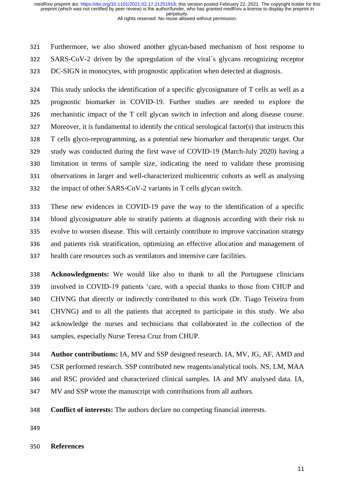All rights reserved. No reuse allowed without permission.

 Furthermore, we also showed another glycan-based mechanism of host response to SARS-CoV-2 driven by the upregulation of the viral´s glycans recognizing receptor DC-SIGN in monocytes, with prognostic application when detected at diagnosis.

 This study unlocks the identification of a specific glycosignature of T cells as well as a prognostic biomarker in COVID-19. Further studies are needed to explore the mechanistic impact of the T cell glycan switch in infection and along disease course. Moreover, it is fundamental to identify the critical serological factor(s) that instructs this T cells glyco-reprogramming, as a potential new biomarker and therapeutic target. Our study was conducted during the first wave of COVID-19 (March-July 2020) having a limitation in terms of sample size, indicating the need to validate these promising observations in larger and well-characterized multicentric cohorts as well as analysing the impact of other SARS-CoV-2 variants in T cells glycan switch.

 These new evidences in COVID-19 pave the way to the identification of a specific blood glycosignature able to stratify patients at diagnosis according with their risk to evolve to worsen disease. This will certainly contribute to improve vaccination strategy and patients risk stratification, optimizing an effective allocation and management of health care resources such as ventilators and intensive care facilities.

 **Acknowledgments:** We would like also to thank to all the Portuguese clinicians involved in COVID-19 patients 'care, with a special thanks to those from CHUP and CHVNG that directly or indirectly contributed to this work (Dr. Tiago Teixeira from CHVNG) and to all the patients that accepted to participate in this study. We also acknowledge the nurses and technicians that collaborated in the collection of the samples, especially Nurse Teresa Cruz from CHUP.

 **Author contributions:** IA, MV and SSP designed research. IA, MV, JG, AF, AMD and CSR performed research. SSP contributed new reagents/analytical tools. NS, LM, MAA and RSC provided and characterized clinical samples. IA and MV analysed data. IA, MV and SSP wrote the manuscript with contributions from all authors.

- **Conflict of interests:** The authors declare no competing financial interests.
- 

### **References**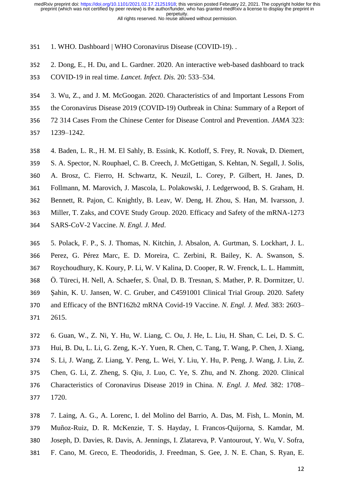- 351 1. WHO. Dashboard | WHO Coronavirus Disease (COVID-19). .
- 2. Dong, E., H. Du, and L. Gardner. 2020. An interactive web-based dashboard to track
- COVID-19 in real time. *Lancet. Infect. Dis.* 20: 533–534.
- 3. Wu, Z., and J. M. McGoogan. 2020. Characteristics of and Important Lessons From
- the Coronavirus Disease 2019 (COVID-19) Outbreak in China: Summary of a Report of
- 72 314 Cases From the Chinese Center for Disease Control and Prevention. *JAMA* 323:
- 1239–1242.
- 4. Baden, L. R., H. M. El Sahly, B. Essink, K. Kotloff, S. Frey, R. Novak, D. Diemert,
- S. A. Spector, N. Rouphael, C. B. Creech, J. McGettigan, S. Kehtan, N. Segall, J. Solis,
- A. Brosz, C. Fierro, H. Schwartz, K. Neuzil, L. Corey, P. Gilbert, H. Janes, D.
- Follmann, M. Marovich, J. Mascola, L. Polakowski, J. Ledgerwood, B. S. Graham, H.
- Bennett, R. Pajon, C. Knightly, B. Leav, W. Deng, H. Zhou, S. Han, M. Ivarsson, J.
- Miller, T. Zaks, and COVE Study Group. 2020. Efficacy and Safety of the mRNA-1273
- SARS-CoV-2 Vaccine. *N. Engl. J. Med*.
- 5. Polack, F. P., S. J. Thomas, N. Kitchin, J. Absalon, A. Gurtman, S. Lockhart, J. L. Perez, G. Pérez Marc, E. D. Moreira, C. Zerbini, R. Bailey, K. A. Swanson, S. Roychoudhury, K. Koury, P. Li, W. V Kalina, D. Cooper, R. W. Frenck, L. L. Hammitt, Ö. Türeci, H. Nell, A. Schaefer, S. Ünal, D. B. Tresnan, S. Mather, P. R. Dormitzer, U. Şahin, K. U. Jansen, W. C. Gruber, and C4591001 Clinical Trial Group. 2020. Safety and Efficacy of the BNT162b2 mRNA Covid-19 Vaccine. *N. Engl. J. Med.* 383: 2603– 2615.
- 6. Guan, W., Z. Ni, Y. Hu, W. Liang, C. Ou, J. He, L. Liu, H. Shan, C. Lei, D. S. C. Hui, B. Du, L. Li, G. Zeng, K.-Y. Yuen, R. Chen, C. Tang, T. Wang, P. Chen, J. Xiang, S. Li, J. Wang, Z. Liang, Y. Peng, L. Wei, Y. Liu, Y. Hu, P. Peng, J. Wang, J. Liu, Z. Chen, G. Li, Z. Zheng, S. Qiu, J. Luo, C. Ye, S. Zhu, and N. Zhong. 2020. Clinical
- Characteristics of Coronavirus Disease 2019 in China. *N. Engl. J. Med.* 382: 1708– 1720.
- 7. Laing, A. G., A. Lorenc, I. del Molino del Barrio, A. Das, M. Fish, L. Monin, M.
- Muñoz-Ruiz, D. R. McKenzie, T. S. Hayday, I. Francos-Quijorna, S. Kamdar, M.
- Joseph, D. Davies, R. Davis, A. Jennings, I. Zlatareva, P. Vantourout, Y. Wu, V. Sofra,
- F. Cano, M. Greco, E. Theodoridis, J. Freedman, S. Gee, J. N. E. Chan, S. Ryan, E.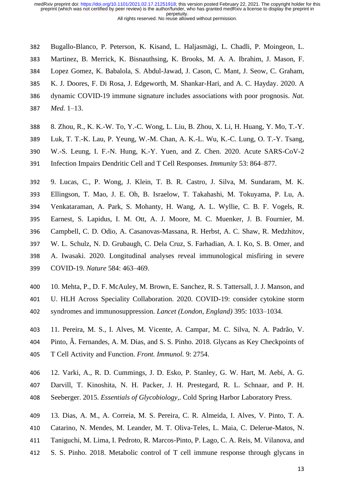- Bugallo-Blanco, P. Peterson, K. Kisand, L. Haljasmägi, L. Chadli, P. Moingeon, L.
- Martinez, B. Merrick, K. Bisnauthsing, K. Brooks, M. A. A. Ibrahim, J. Mason, F.
- Lopez Gomez, K. Babalola, S. Abdul-Jawad, J. Cason, C. Mant, J. Seow, C. Graham,
- K. J. Doores, F. Di Rosa, J. Edgeworth, M. Shankar-Hari, and A. C. Hayday. 2020. A
- dynamic COVID-19 immune signature includes associations with poor prognosis. *Nat.*
- *Med.* 1–13.
- 8. Zhou, R., K. K.-W. To, Y.-C. Wong, L. Liu, B. Zhou, X. Li, H. Huang, Y. Mo, T.-Y.
- Luk, T. T.-K. Lau, P. Yeung, W.-M. Chan, A. K.-L. Wu, K.-C. Lung, O. T.-Y. Tsang,
- W.-S. Leung, I. F.-N. Hung, K.-Y. Yuen, and Z. Chen. 2020. Acute SARS-CoV-2
- Infection Impairs Dendritic Cell and T Cell Responses. *Immunity* 53: 864–877.
- 9. Lucas, C., P. Wong, J. Klein, T. B. R. Castro, J. Silva, M. Sundaram, M. K.
- Ellingson, T. Mao, J. E. Oh, B. Israelow, T. Takahashi, M. Tokuyama, P. Lu, A.
- Venkataraman, A. Park, S. Mohanty, H. Wang, A. L. Wyllie, C. B. F. Vogels, R.
- Earnest, S. Lapidus, I. M. Ott, A. J. Moore, M. C. Muenker, J. B. Fournier, M.
- Campbell, C. D. Odio, A. Casanovas-Massana, R. Herbst, A. C. Shaw, R. Medzhitov,
- W. L. Schulz, N. D. Grubaugh, C. Dela Cruz, S. Farhadian, A. I. Ko, S. B. Omer, and
- A. Iwasaki. 2020. Longitudinal analyses reveal immunological misfiring in severe COVID-19. *Nature* 584: 463–469.
- 10. Mehta, P., D. F. McAuley, M. Brown, E. Sanchez, R. S. Tattersall, J. J. Manson, and
- U. HLH Across Speciality Collaboration. 2020. COVID-19: consider cytokine storm
- syndromes and immunosuppression. *Lancet (London, England)* 395: 1033–1034.
- 11. Pereira, M. S., I. Alves, M. Vicente, A. Campar, M. C. Silva, N. A. Padrão, V.
- Pinto, Â. Fernandes, A. M. Dias, and S. S. Pinho. 2018. Glycans as Key Checkpoints of
- T Cell Activity and Function. *Front. Immunol.* 9: 2754.
- 12. Varki, A., R. D. Cummings, J. D. Esko, P. Stanley, G. W. Hart, M. Aebi, A. G.
- Darvill, T. Kinoshita, N. H. Packer, J. H. Prestegard, R. L. Schnaar, and P. H.
- Seeberger. 2015. *Essentials of Glycobiology*,. Cold Spring Harbor Laboratory Press.
- 13. Dias, A. M., A. Correia, M. S. Pereira, C. R. Almeida, I. Alves, V. Pinto, T. A.
- Catarino, N. Mendes, M. Leander, M. T. Oliva-Teles, L. Maia, C. Delerue-Matos, N.
- Taniguchi, M. Lima, I. Pedroto, R. Marcos-Pinto, P. Lago, C. A. Reis, M. Vilanova, and
- S. S. Pinho. 2018. Metabolic control of T cell immune response through glycans in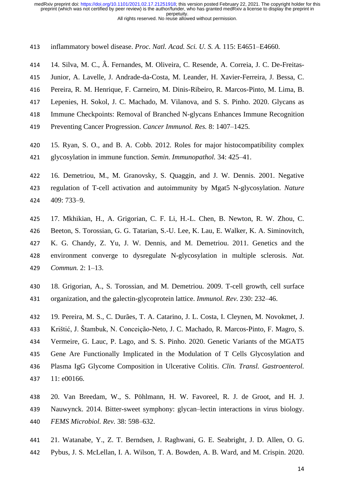inflammatory bowel disease. *Proc. Natl. Acad. Sci. U. S. A.* 115: E4651–E4660.

14. Silva, M. C., Â. Fernandes, M. Oliveira, C. Resende, A. Correia, J. C. De-Freitas-

Junior, A. Lavelle, J. Andrade-da-Costa, M. Leander, H. Xavier-Ferreira, J. Bessa, C.

- Pereira, R. M. Henrique, F. Carneiro, M. Dinis-Ribeiro, R. Marcos-Pinto, M. Lima, B.
- Lepenies, H. Sokol, J. C. Machado, M. Vilanova, and S. S. Pinho. 2020. Glycans as
- Immune Checkpoints: Removal of Branched N-glycans Enhances Immune Recognition
- Preventing Cancer Progression. *Cancer Immunol. Res.* 8: 1407–1425.
- 15. Ryan, S. O., and B. A. Cobb. 2012. Roles for major histocompatibility complex
- glycosylation in immune function. *Semin. Immunopathol.* 34: 425–41.
- 16. Demetriou, M., M. Granovsky, S. Quaggin, and J. W. Dennis. 2001. Negative regulation of T-cell activation and autoimmunity by Mgat5 N-glycosylation. *Nature* 409: 733–9.
- 17. Mkhikian, H., A. Grigorian, C. F. Li, H.-L. Chen, B. Newton, R. W. Zhou, C. Beeton, S. Torossian, G. G. Tatarian, S.-U. Lee, K. Lau, E. Walker, K. A. Siminovitch, K. G. Chandy, Z. Yu, J. W. Dennis, and M. Demetriou. 2011. Genetics and the environment converge to dysregulate N-glycosylation in multiple sclerosis. *Nat. Commun.* 2: 1–13.
- 18. Grigorian, A., S. Torossian, and M. Demetriou. 2009. T-cell growth, cell surface organization, and the galectin-glycoprotein lattice. *Immunol. Rev.* 230: 232–46.
- 19. Pereira, M. S., C. Durães, T. A. Catarino, J. L. Costa, I. Cleynen, M. Novokmet, J. Krištić, J. Štambuk, N. Conceição-Neto, J. C. Machado, R. Marcos-Pinto, F. Magro, S. Vermeire, G. Lauc, P. Lago, and S. S. Pinho. 2020. Genetic Variants of the MGAT5 Gene Are Functionally Implicated in the Modulation of T Cells Glycosylation and Plasma IgG Glycome Composition in Ulcerative Colitis. *Clin. Transl. Gastroenterol.* 11: e00166.
- 20. Van Breedam, W., S. Pöhlmann, H. W. Favoreel, R. J. de Groot, and H. J.
- Nauwynck. 2014. Bitter-sweet symphony: glycan–lectin interactions in virus biology. *FEMS Microbiol. Rev.* 38: 598–632.
- 21. Watanabe, Y., Z. T. Berndsen, J. Raghwani, G. E. Seabright, J. D. Allen, O. G.
- Pybus, J. S. McLellan, I. A. Wilson, T. A. Bowden, A. B. Ward, and M. Crispin. 2020.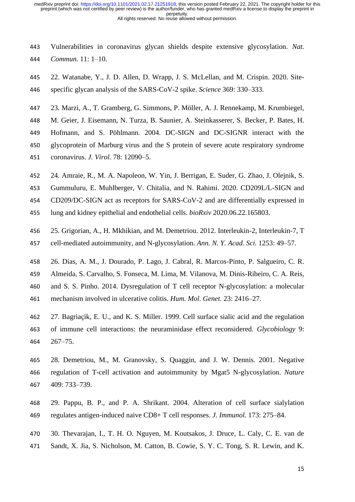Vulnerabilities in coronavirus glycan shields despite extensive glycosylation. *Nat. Commun.* 11: 1–10.

- 22. Watanabe, Y., J. D. Allen, D. Wrapp, J. S. McLellan, and M. Crispin. 2020. Site-specific glycan analysis of the SARS-CoV-2 spike. *Science* 369: 330–333.
- 23. Marzi, A., T. Gramberg, G. Simmons, P. Möller, A. J. Rennekamp, M. Krumbiegel,
- M. Geier, J. Eisemann, N. Turza, B. Saunier, A. Steinkasserer, S. Becker, P. Bates, H.
- Hofmann, and S. Pöhlmann. 2004. DC-SIGN and DC-SIGNR interact with the
- glycoprotein of Marburg virus and the S protein of severe acute respiratory syndrome
- coronavirus. *J. Virol.* 78: 12090–5.
- 24. Amraie, R., M. A. Napoleon, W. Yin, J. Berrigan, E. Suder, G. Zhao, J. Olejnik, S.
- Gummuluru, E. Muhlberger, V. Chitalia, and N. Rahimi. 2020. CD209L/L-SIGN and
- CD209/DC-SIGN act as receptors for SARS-CoV-2 and are differentially expressed in
- lung and kidney epithelial and endothelial cells. *bioRxiv* 2020.06.22.165803.
- 25. Grigorian, A., H. Mkhikian, and M. Demetriou. 2012. Interleukin-2, Interleukin-7, T cell-mediated autoimmunity, and N-glycosylation. *Ann. N. Y. Acad. Sci.* 1253: 49–57.
- 26. Dias, A. M., J. Dourado, P. Lago, J. Cabral, R. Marcos-Pinto, P. Salgueiro, C. R.
- Almeida, S. Carvalho, S. Fonseca, M. Lima, M. Vilanova, M. Dinis-Ribeiro, C. A. Reis,
- and S. S. Pinho. 2014. Dysregulation of T cell receptor N-glycosylation: a molecular
- mechanism involved in ulcerative colitis. *Hum. Mol. Genet.* 23: 2416–27.
- 27. Bagriaçik, E. U., and K. S. Miller. 1999. Cell surface sialic acid and the regulation of immune cell interactions: the neuraminidase effect reconsidered. *Glycobiology* 9: 267–75.
- 28. Demetriou, M., M. Granovsky, S. Quaggin, and J. W. Dennis. 2001. Negative regulation of T-cell activation and autoimmunity by Mgat5 N-glycosylation. *Nature* 409: 733–739.
- 29. Pappu, B. P., and P. A. Shrikant. 2004. Alteration of cell surface sialylation regulates antigen-induced naive CD8+ T cell responses. *J. Immunol.* 173: 275–84.
- 30. Thevarajan, I., T. H. O. Nguyen, M. Koutsakos, J. Druce, L. Caly, C. E. van de
- Sandt, X. Jia, S. Nicholson, M. Catton, B. Cowie, S. Y. C. Tong, S. R. Lewin, and K.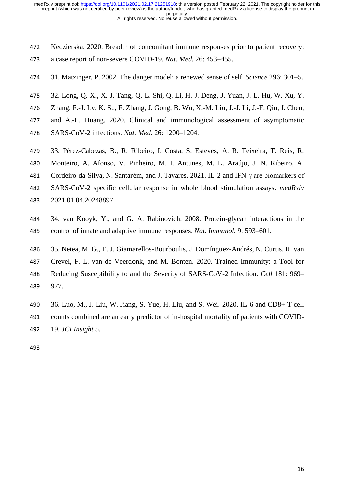- Kedzierska. 2020. Breadth of concomitant immune responses prior to patient recovery:
- a case report of non-severe COVID-19. *Nat. Med.* 26: 453–455.
- 31. Matzinger, P. 2002. The danger model: a renewed sense of self. *Science* 296: 301–5.
- 32. Long, Q.-X., X.-J. Tang, Q.-L. Shi, Q. Li, H.-J. Deng, J. Yuan, J.-L. Hu, W. Xu, Y.
- Zhang, F.-J. Lv, K. Su, F. Zhang, J. Gong, B. Wu, X.-M. Liu, J.-J. Li, J.-F. Qiu, J. Chen,
- and A.-L. Huang. 2020. Clinical and immunological assessment of asymptomatic
- SARS-CoV-2 infections. *Nat. Med.* 26: 1200–1204.
- 33. Pérez-Cabezas, B., R. Ribeiro, I. Costa, S. Esteves, A. R. Teixeira, T. Reis, R.
- Monteiro, A. Afonso, V. Pinheiro, M. I. Antunes, M. L. Araújo, J. N. Ribeiro, A.
- Cordeiro-da-Silva, N. Santarém, and J. Tavares. 2021. IL-2 and IFN-γ are biomarkers of
- SARS-CoV-2 specific cellular response in whole blood stimulation assays. *medRxiv*
- 2021.01.04.20248897.
- 34. van Kooyk, Y., and G. A. Rabinovich. 2008. Protein-glycan interactions in the control of innate and adaptive immune responses. *Nat. Immunol.* 9: 593–601.
- 35. Netea, M. G., E. J. Giamarellos-Bourboulis, J. Domínguez-Andrés, N. Curtis, R. van Crevel, F. L. van de Veerdonk, and M. Bonten. 2020. Trained Immunity: a Tool for Reducing Susceptibility to and the Severity of SARS-CoV-2 Infection. *Cell* 181: 969– 977.
- 36. Luo, M., J. Liu, W. Jiang, S. Yue, H. Liu, and S. Wei. 2020. IL-6 and CD8+ T cell counts combined are an early predictor of in-hospital mortality of patients with COVID-19. *JCI Insight* 5.
-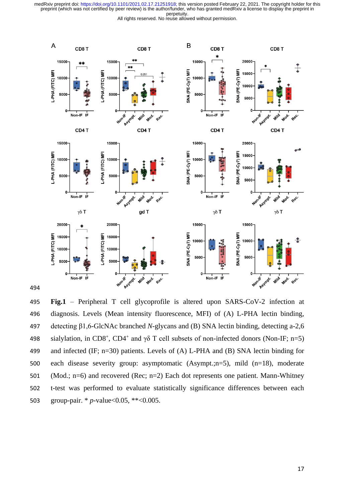



 **Fig.1** – Peripheral T cell glycoprofile is altered upon SARS-CoV-2 infection at diagnosis. Levels (Mean intensity fluorescence, MFI) of (A) L-PHA lectin binding, detecting β1,6-GlcNAc branched *N*-glycans and (B) SNA lectin binding, detecting a-2,6 498 sialylation, in CD8<sup>+</sup>, CD4<sup>+</sup> and γδ T cell subsets of non-infected donors (Non-IF; n=5) and infected (IF; n=30) patients. Levels of (A) L-PHA and (B) SNA lectin binding for each disease severity group: asymptomatic (Asympt.;n=5), mild (n=18), moderate (Mod.; n=6) and recovered (Rec; n=2) Each dot represents one patient. Mann-Whitney t-test was performed to evaluate statistically significance differences between each group-pair. \* *p*-value<0.05, \*\*<0.005.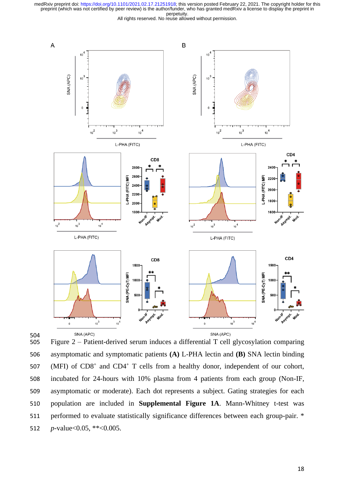



504<br>505 Figure  $2$  – Patient-derived serum induces a differential T cell glycosylation comparing 506 asymptomatic and symptomatic patients **(A)** L-PHA lectin and **(B)** SNA lectin binding 507 (MFI) of CD8<sup>+</sup> and CD4<sup>+</sup> T cells from a healthy donor, independent of our cohort, 508 incubated for 24-hours with 10% plasma from 4 patients from each group (Non-IF, 509 asymptomatic or moderate). Each dot represents a subject. Gating strategies for each 510 population are included in **Supplemental Figure 1A**. Mann-Whitney t-test was 511 performed to evaluate statistically significance differences between each group-pair. \* 512 *p*-value<0.05, \*\*<0.005.